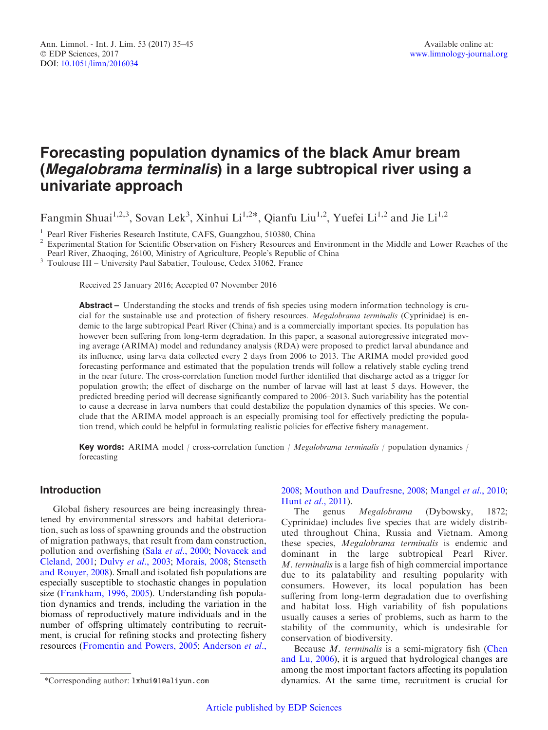# Forecasting population dynamics of the black Amur bream (Megalobrama terminalis) in a large subtropical river using a univariate approach

Fangmin Shuai<sup>1,2,3</sup>, Sovan Lek<sup>3</sup>, Xinhui Li<sup>1,2\*</sup>, Qianfu Liu<sup>1,2</sup>, Yuefei Li<sup>1,2</sup> and Jie Li<sup>1,2</sup>

<sup>1</sup> Pearl River Fisheries Research Institute, CAFS, Guangzhou, 510380, China<br><sup>2</sup> Experimental Station for Scientific Observation on Fishery Resources and Environment in the Middle and Lower Reaches of the<br>Pearl River, Zhao

 $^3$  Toulouse III – University Paul Sabatier, Toulouse, Cedex 31062, France

Received 25 January 2016; Accepted 07 November 2016

Abstract – Understanding the stocks and trends of fish species using modern information technology is crucial for the sustainable use and protection of fishery resources. Megalobrama terminalis (Cyprinidae) is endemic to the large subtropical Pearl River (China) and is a commercially important species. Its population has however been suffering from long-term degradation. In this paper, a seasonal autoregressive integrated moving average (ARIMA) model and redundancy analysis (RDA) were proposed to predict larval abundance and its influence, using larva data collected every 2 days from 2006 to 2013. The ARIMA model provided good forecasting performance and estimated that the population trends will follow a relatively stable cycling trend in the near future. The cross-correlation function model further identified that discharge acted as a trigger for population growth; the effect of discharge on the number of larvae will last at least 5 days. However, the predicted breeding period will decrease significantly compared to 2006–2013. Such variability has the potential to cause a decrease in larva numbers that could destabilize the population dynamics of this species. We conclude that the ARIMA model approach is an especially promising tool for effectively predicting the population trend, which could be helpful in formulating realistic policies for effective fishery management.

Key words: ARIMA model / cross-correlation function / Megalobrama terminalis / population dynamics / forecasting

# Introduction

Global fishery resources are being increasingly threatened by environmental stressors and habitat deterioration, such as loss of spawning grounds and the obstruction of migration pathways, that result from dam construction, pollution and overfishing (Sala et al[., 2000;](#page-9-0) [Novacek and](#page-9-0) [Cleland, 2001](#page-9-0); Dulvy et al[., 2003](#page-8-0); [Morais, 2008;](#page-9-0) [Stenseth](#page-9-0) [and Rouyer, 2008\)](#page-9-0). Small and isolated fish populations are especially susceptible to stochastic changes in population size [\(Frankham, 1996](#page-8-0), [2005](#page-8-0)). Understanding fish population dynamics and trends, including the variation in the biomass of reproductively mature individuals and in the number of offspring ultimately contributing to recruitment, is crucial for refining stocks and protecting fishery resources ([Fromentin and Powers, 2005;](#page-8-0) [Anderson](#page-8-0) et al.,

# [2008;](#page-8-0) [Mouthon and Daufresne, 2008](#page-9-0); [Mangel](#page-9-0) et al., 2010; Hunt et al[., 2011](#page-8-0)).

The genus Megalobrama (Dybowsky, 1872; Cyprinidae) includes five species that are widely distributed throughout China, Russia and Vietnam. Among these species, Megalobrama terminalis is endemic and dominant in the large subtropical Pearl River. M. terminalis is a large fish of high commercial importance due to its palatability and resulting popularity with consumers. However, its local population has been suffering from long-term degradation due to overfishing and habitat loss. High variability of fish populations usually causes a series of problems, such as harm to the stability of the community, which is undesirable for conservation of biodiversity.

Because *M. terminalis* is a semi-migratory fish [\(Chen](#page-8-0) [and Lu, 2006](#page-8-0)), it is argued that hydrological changes are among the most important factors affecting its population \*Corresponding author: lxhui01@aliyun.com dynamics. At the same time, recruitment is crucial for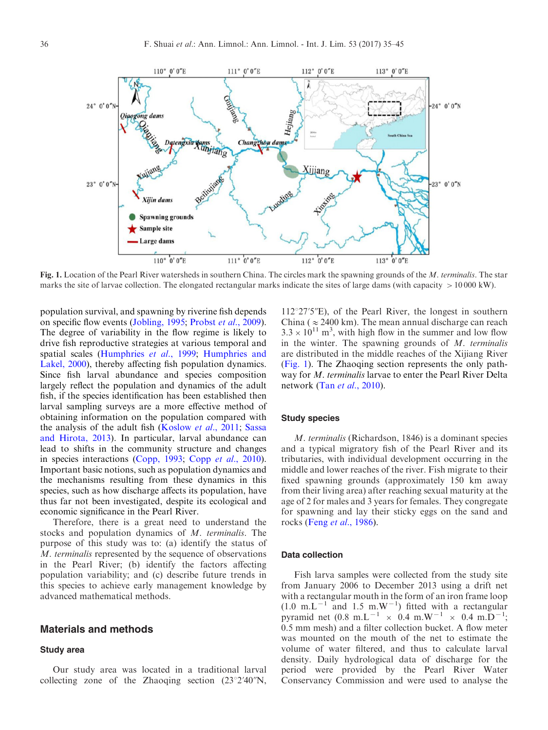

Fig. 1. Location of the Pearl River watersheds in southern China. The circles mark the spawning grounds of the M. terminalis. The star marks the site of larvae collection. The elongated rectangular marks indicate the sites of large dams (with capacity  $> 10000 \text{ kW}$ ).

population survival, and spawning by riverine fish depends on specific flow events [\(Jobling, 1995;](#page-8-0) Probst et al[., 2009\)](#page-9-0). The degree of variability in the flow regime is likely to drive fish reproductive strategies at various temporal and spatial scales [\(Humphries](#page-8-0) et al., 1999; [Humphries and](#page-8-0) [Lakel, 2000\)](#page-8-0), thereby affecting fish population dynamics. Since fish larval abundance and species composition largely reflect the population and dynamics of the adult fish, if the species identification has been established then larval sampling surveys are a more effective method of obtaining information on the population compared with the analysis of the adult fish [\(Koslow](#page-9-0) et al., 2011; [Sassa](#page-9-0) [and Hirota, 2013](#page-9-0)). In particular, larval abundance can lead to shifts in the community structure and changes in species interactions ([Copp, 1993](#page-8-0); Copp et al[., 2010\)](#page-8-0). Important basic notions, such as population dynamics and the mechanisms resulting from these dynamics in this species, such as how discharge affects its population, have thus far not been investigated, despite its ecological and economic significance in the Pearl River.

Therefore, there is a great need to understand the stocks and population dynamics of M. terminalis. The purpose of this study was to: (a) identify the status of M. terminalis represented by the sequence of observations in the Pearl River; (b) identify the factors affecting population variability; and (c) describe future trends in this species to achieve early management knowledge by advanced mathematical methods.

# Materials and methods

## Study area

Our study area was located in a traditional larval collecting zone of the Zhaoqing section  $(23^{\circ}2'40'')$ N,  $112^{\circ}27'5''$ E), of the Pearl River, the longest in southern China ( $\approx$  2400 km). The mean annual discharge can reach  $3.3 \times 10^{11}$  m<sup>3</sup>, with high flow in the summer and low flow in the winter. The spawning grounds of  $M$ . terminalis are distributed in the middle reaches of the Xijiang River (Fig. 1). The Zhaoqing section represents the only pathway for M. terminalis larvae to enter the Pearl River Delta network (Tan *et al.*, 2010).

### Study species

M. terminalis (Richardson, 1846) is a dominant species and a typical migratory fish of the Pearl River and its tributaries, with individual development occurring in the middle and lower reaches of the river. Fish migrate to their fixed spawning grounds (approximately 150 km away from their living area) after reaching sexual maturity at the age of 2 for males and 3 years for females. They congregate for spawning and lay their sticky eggs on the sand and rocks (Feng et al[., 1986](#page-8-0)).

#### Data collection

Fish larva samples were collected from the study site from January 2006 to December 2013 using a drift net with a rectangular mouth in the form of an iron frame loop  $(1.0 \text{ m.L}^{-1}$  and 1.5 m.W<sup>-1</sup>) fitted with a rectangular pyramid net  $(0.8 \text{ m.L}^{-1} \times 0.4 \text{ m.W}^{-1} \times 0.4 \text{ m.D}^{-1})$ ; 0.5 mm mesh) and a filter collection bucket. A flow meter was mounted on the mouth of the net to estimate the volume of water filtered, and thus to calculate larval density. Daily hydrological data of discharge for the period were provided by the Pearl River Water Conservancy Commission and were used to analyse the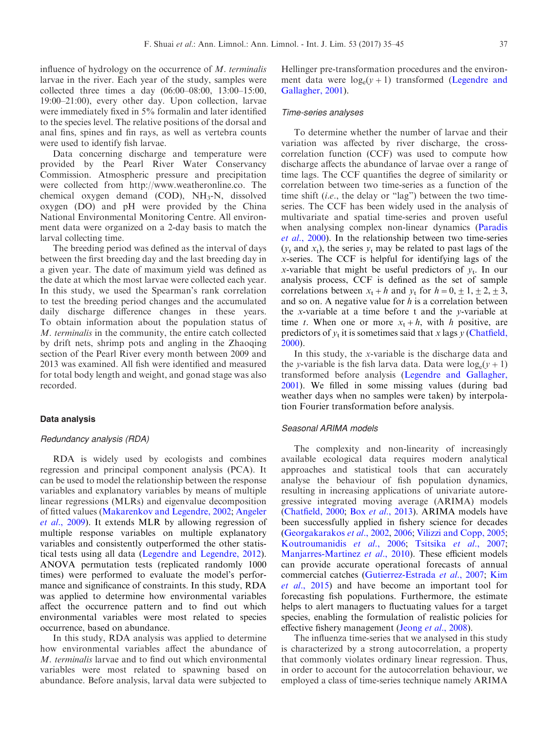influence of hydrology on the occurrence of M. terminalis larvae in the river. Each year of the study, samples were collected three times a day (06:00–08:00, 13:00–15:00, 19:00–21:00), every other day. Upon collection, larvae were immediately fixed in 5% formalin and later identified to the species level. The relative positions of the dorsal and anal fins, spines and fin rays, as well as vertebra counts were used to identify fish larvae.

Data concerning discharge and temperature were provided by the Pearl River Water Conservancy Commission. Atmospheric pressure and precipitation were collected from http://www.weatheronline.co. The chemical oxygen demand (COD), NH<sub>3</sub>-N, dissolved oxygen (DO) and pH were provided by the China National Environmental Monitoring Centre. All environment data were organized on a 2-day basis to match the larval collecting time.

The breeding period was defined as the interval of days between the first breeding day and the last breeding day in a given year. The date of maximum yield was defined as the date at which the most larvae were collected each year. In this study, we used the Spearman's rank correlation to test the breeding period changes and the accumulated daily discharge difference changes in these years. To obtain information about the population status of M. terminalis in the community, the entire catch collected by drift nets, shrimp pots and angling in the Zhaoqing section of the Pearl River every month between 2009 and 2013 was examined. All fish were identified and measured for total body length and weight, and gonad stage was also recorded.

#### Data analysis

### Redundancy analysis (RDA)

RDA is widely used by ecologists and combines regression and principal component analysis (PCA). It can be used to model the relationship between the response variables and explanatory variables by means of multiple linear regressions (MLRs) and eigenvalue decomposition of fitted values [\(Makarenkov and Legendre, 2002](#page-9-0); [Angeler](#page-8-0) et al[., 2009\)](#page-8-0). It extends MLR by allowing regression of multiple response variables on multiple explanatory variables and consistently outperformed the other statistical tests using all data [\(Legendre and Legendre, 2012\)](#page-9-0). ANOVA permutation tests (replicated randomly 1000 times) were performed to evaluate the model's performance and significance of constraints. In this study, RDA was applied to determine how environmental variables affect the occurrence pattern and to find out which environmental variables were most related to species occurrence, based on abundance.

In this study, RDA analysis was applied to determine how environmental variables affect the abundance of M. terminalis larvae and to find out which environmental variables were most related to spawning based on abundance. Before analysis, larval data were subjected to

Hellinger pre-transformation procedures and the environment data were  $log_e(v+1)$  transformed ([Legendre and](#page-9-0) [Gallagher, 2001](#page-9-0)).

#### Time-series analyses

To determine whether the number of larvae and their variation was affected by river discharge, the crosscorrelation function (CCF) was used to compute how discharge affects the abundance of larvae over a range of time lags. The CCF quantifies the degree of similarity or correlation between two time-series as a function of the time shift (i.e., the delay or "lag") between the two timeseries. The CCF has been widely used in the analysis of multivariate and spatial time-series and proven useful when analysing complex non-linear dynamics ([Paradis](#page-9-0) et al[., 2000](#page-9-0)). In the relationship between two time-series  $(y_t$  and  $x_t$ ), the series  $y_t$  may be related to past lags of the x-series. The CCF is helpful for identifying lags of the x-variable that might be useful predictors of  $v_t$ . In our analysis process, CCF is defined as the set of sample correlations between  $x_t + h$  and  $y_t$  for  $h = 0, \pm 1, \pm 2, \pm 3,$ and so on. A negative value for  $h$  is a correlation between the x-variable at a time before t and the y-variable at time t. When one or more  $x_t + h$ , with h positive, are predictors of  $y_t$  it is sometimes said that x lags y ([Chatfield,](#page-8-0) [2000\)](#page-8-0).

In this study, the x-variable is the discharge data and the y-variable is the fish larva data. Data were  $log_e(v+1)$ transformed before analysis [\(Legendre and Gallagher,](#page-9-0) [2001\)](#page-9-0). We filled in some missing values (during bad weather days when no samples were taken) by interpolation Fourier transformation before analysis.

### Seasonal ARIMA models

The complexity and non-linearity of increasingly available ecological data requires modern analytical approaches and statistical tools that can accurately analyse the behaviour of fish population dynamics, resulting in increasing applications of univariate autoregressive integrated moving average (ARIMA) models ([Chatfield, 2000](#page-8-0); Box et al[., 2013\)](#page-8-0). ARIMA models have been successfully applied in fishery science for decades ([Georgakarakos](#page-8-0) et al., 2002, [2006;](#page-8-0) [Vilizzi and Copp, 2005](#page-9-0); [Koutroumanidis](#page-9-0) et al., 2006; [Tsitsika](#page-9-0) et al., 2007; [Manjarres-Martinez](#page-9-0) et al., 2010). These efficient models can provide accurate operational forecasts of annual commercial catches ([Gutierrez-Estrada](#page-8-0) et al., 2007; [Kim](#page-8-0) et al[., 2015\)](#page-8-0) and have become an important tool for forecasting fish populations. Furthermore, the estimate helps to alert managers to fluctuating values for a target species, enabling the formulation of realistic policies for effective fishery management (Jeong *et al.*, 2008).

The influenza time-series that we analysed in this study is characterized by a strong autocorrelation, a property that commonly violates ordinary linear regression. Thus, in order to account for the autocorrelation behaviour, we employed a class of time-series technique namely ARIMA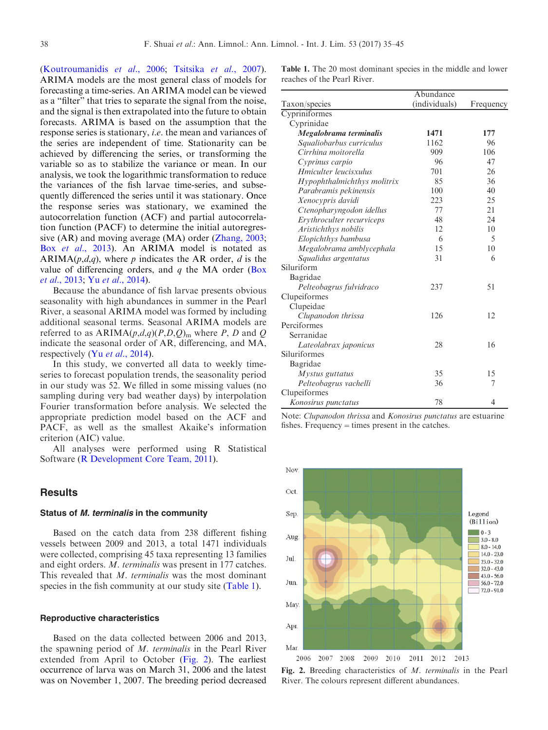<span id="page-3-0"></span>([Koutroumanidis](#page-9-0) et al., 2006; [Tsitsika](#page-9-0) et al., 2007). ARIMA models are the most general class of models for forecasting a time-series. An ARIMA model can be viewed as a "filter" that tries to separate the signal from the noise, and the signal is then extrapolated into the future to obtain forecasts. ARIMA is based on the assumption that the response series is stationary, i.e. the mean and variances of the series are independent of time. Stationarity can be achieved by differencing the series, or transforming the variable so as to stabilize the variance or mean. In our analysis, we took the logarithmic transformation to reduce the variances of the fish larvae time-series, and subsequently differenced the series until it was stationary. Once the response series was stationary, we examined the autocorrelation function (ACF) and partial autocorrelation function (PACF) to determine the initial autoregressive (AR) and moving average (MA) order ([Zhang, 2003;](#page-10-0) Box et al[., 2013\)](#page-8-0). An ARIMA model is notated as ARIMA( $p,d,q$ ), where p indicates the AR order, d is the value of differencing orders, and  $q$  the MA order ([Box](#page-8-0) et al[., 2013;](#page-8-0) Yu et al[., 2014\)](#page-10-0).

Because the abundance of fish larvae presents obvious seasonality with high abundances in summer in the Pearl River, a seasonal ARIMA model was formed by including additional seasonal terms. Seasonal ARIMA models are referred to as  $ARIMA(p,d,q)(P,D,Q)_{m}$  where P, D and Q indicate the seasonal order of AR, differencing, and MA, respectively (Yu et al[., 2014](#page-10-0)).

In this study, we converted all data to weekly timeseries to forecast population trends, the seasonality period in our study was 52. We filled in some missing values (no sampling during very bad weather days) by interpolation Fourier transformation before analysis. We selected the appropriate prediction model based on the ACF and PACF, as well as the smallest Akaike's information criterion (AIC) value.

All analyses were performed using R Statistical Software ([R Development Core Team, 2011](#page-9-0)).

# **Results**

#### Status of M. terminalis in the community

Based on the catch data from 238 different fishing vessels between 2009 and 2013, a total 1471 individuals were collected, comprising 45 taxa representing 13 families and eight orders. M. terminalis was present in 177 catches. This revealed that M. terminalis was the most dominant species in the fish community at our study site (Table 1).

#### Reproductive characteristics

Based on the data collected between 2006 and 2013, the spawning period of M. terminalis in the Pearl River extended from April to October (Fig. 2). The earliest occurrence of larva was on March 31, 2006 and the latest was on November 1, 2007. The breeding period decreased Table 1. The 20 most dominant species in the middle and lower reaches of the Pearl River.

|                             | Abundance     |           |  |
|-----------------------------|---------------|-----------|--|
| Taxon/species               | (individuals) | Frequency |  |
| Cypriniformes               |               |           |  |
| Cyprinidae                  |               |           |  |
| Megalobrama terminalis      | 1471          | 177       |  |
| Squaliobarbus curriculus    | 1162          | 96        |  |
| Cirrhina moitorella         | 909           | 106       |  |
| Cyprinus carpio             | 96            | 47        |  |
| Hmiculter leucisxulus       | 701           | 26        |  |
| Hypophthalmichthys molitrix | 85            | 36        |  |
| Parabramis pekinensis       | 100           | 40        |  |
| Xenocypris davidi           | 223           | 25        |  |
| Ctenopharyngodon idellus    | 77            | 21        |  |
| Erythroculter recurviceps   | 48            | 24        |  |
| Aristichthys nobilis        | 12            | 10        |  |
| Elopichthys bambusa         | 6             | 5         |  |
| Megalobrama amblycephala    | 15            | 10        |  |
| Squalidus argentatus        | 31            | 6         |  |
| Siluriform                  |               |           |  |
| Bagridae                    |               |           |  |
| Pelteobagrus fulvidraco     | 237           | 51        |  |
| Clupeiformes                |               |           |  |
| Clupeidae                   |               |           |  |
| Clupanodon thrissa          | 126           | 12        |  |
| Perciformes                 |               |           |  |
| Serranidae                  |               |           |  |
| Lateolabrax japonicus       | 28            | 16        |  |
| Siluriformes                |               |           |  |
| Bagridae                    |               |           |  |
| Mystus guttatus             | 35            | 15        |  |
| Pelteobagrus vachelli       | 36            | 7         |  |
| Clupeiformes                |               |           |  |
| Konosirus punctatus         | 78            | 4         |  |

Note: Clupanodon thrissa and Konosirus punctatus are estuarine fishes. Frequency  $=$  times present in the catches.



Fig. 2. Breeding characteristics of M. terminalis in the Pearl River. The colours represent different abundances.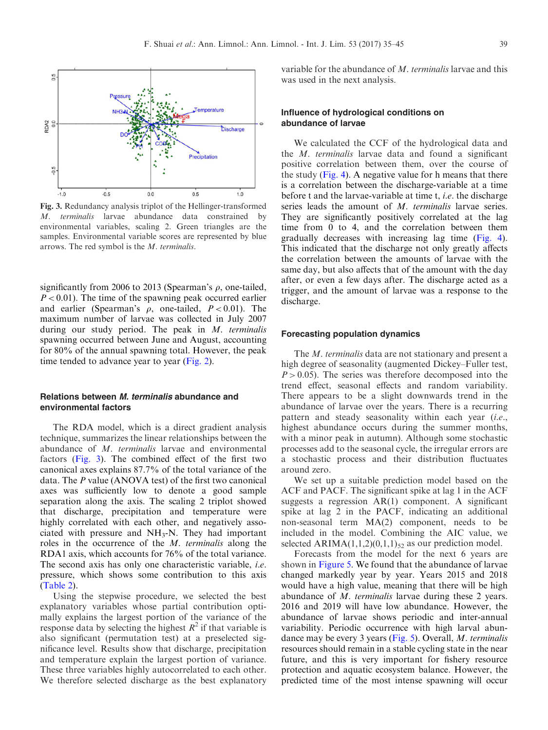

Fig. 3. Redundancy analysis triplot of the Hellinger-transformed M. terminalis larvae abundance data constrained by environmental variables, scaling 2. Green triangles are the samples. Environmental variable scores are represented by blue arrows. The red symbol is the M. terminalis.

significantly from 2006 to 2013 (Spearman's  $\rho$ , one-tailed,  $P < 0.01$ ). The time of the spawning peak occurred earlier and earlier (Spearman's  $\rho$ , one-tailed,  $P < 0.01$ ). The maximum number of larvae was collected in July 2007 during our study period. The peak in  $M$ . terminalis spawning occurred between June and August, accounting for 80% of the annual spawning total. However, the peak time tended to advance year to year [\(Fig. 2\)](#page-3-0).

## Relations between M. terminalis abundance and environmental factors

The RDA model, which is a direct gradient analysis technique, summarizes the linear relationships between the abundance of M. terminalis larvae and environmental factors (Fig. 3). The combined effect of the first two canonical axes explains 87.7% of the total variance of the data. The P value (ANOVA test) of the first two canonical axes was sufficiently low to denote a good sample separation along the axis. The scaling 2 triplot showed that discharge, precipitation and temperature were highly correlated with each other, and negatively associated with pressure and  $NH<sub>3</sub>-N$ . They had important roles in the occurrence of the M. terminalis along the RDA1 axis, which accounts for 76% of the total variance. The second axis has only one characteristic variable, i.e. pressure, which shows some contribution to this axis ([Table 2\)](#page-5-0).

Using the stepwise procedure, we selected the best explanatory variables whose partial contribution optimally explains the largest portion of the variance of the response data by selecting the highest  $R^2$  if that variable is also significant (permutation test) at a preselected significance level. Results show that discharge, precipitation and temperature explain the largest portion of variance. These three variables highly autocorrelated to each other. We therefore selected discharge as the best explanatory

variable for the abundance of M. terminalis larvae and this was used in the next analysis.

## Influence of hydrological conditions on abundance of larvae

We calculated the CCF of the hydrological data and the M. terminalis larvae data and found a significant positive correlation between them, over the course of the study ([Fig. 4](#page-5-0)). A negative value for h means that there is a correlation between the discharge-variable at a time before t and the larvae-variable at time t, i.e. the discharge series leads the amount of *M. terminalis* larvae series. They are significantly positively correlated at the lag time from 0 to 4, and the correlation between them gradually decreases with increasing lag time ([Fig. 4\)](#page-5-0). This indicated that the discharge not only greatly affects the correlation between the amounts of larvae with the same day, but also affects that of the amount with the day after, or even a few days after. The discharge acted as a trigger, and the amount of larvae was a response to the discharge.

#### Forecasting population dynamics

The *M. terminalis* data are not stationary and present a high degree of seasonality (augmented Dickey–Fuller test,  $P > 0.05$ ). The series was therefore decomposed into the trend effect, seasonal effects and random variability. There appears to be a slight downwards trend in the abundance of larvae over the years. There is a recurring pattern and steady seasonality within each year (i.e., highest abundance occurs during the summer months, with a minor peak in autumn). Although some stochastic processes add to the seasonal cycle, the irregular errors are a stochastic process and their distribution fluctuates around zero.

We set up a suitable prediction model based on the ACF and PACF. The significant spike at lag 1 in the ACF suggests a regression AR(1) component. A significant spike at lag 2 in the PACF, indicating an additional non-seasonal term MA(2) component, needs to be included in the model. Combining the AIC value, we selected ARIMA $(1,1,2)(0,1,1)_{52}$  as our prediction model.

Forecasts from the model for the next 6 years are shown in [Figure 5](#page-6-0). We found that the abundance of larvae changed markedly year by year. Years 2015 and 2018 would have a high value, meaning that there will be high abundance of M. terminalis larvae during these 2 years. 2016 and 2019 will have low abundance. However, the abundance of larvae shows periodic and inter-annual variability. Periodic occurrence with high larval abundance may be every 3 years [\(Fig. 5\)](#page-6-0). Overall, M. terminalis resources should remain in a stable cycling state in the near future, and this is very important for fishery resource protection and aquatic ecosystem balance. However, the predicted time of the most intense spawning will occur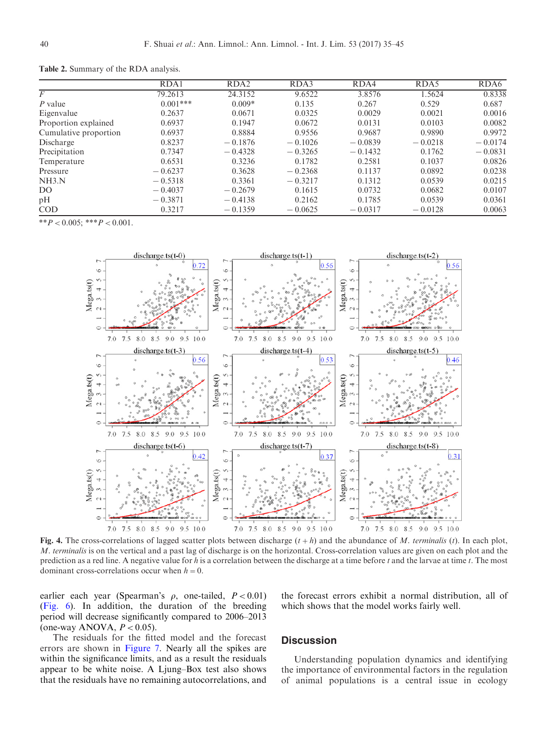|                       | RDA1       | RDA <sub>2</sub> | RDA3      | RDA4      | RDA5      | RDA6      |
|-----------------------|------------|------------------|-----------|-----------|-----------|-----------|
| F                     | 79.2613    | 24.3152          | 9.6522    | 3.8576    | 1.5624    | 0.8338    |
| P value               | $0.001***$ | $0.009*$         | 0.135     | 0.267     | 0.529     | 0.687     |
| Eigenvalue            | 0.2637     | 0.0671           | 0.0325    | 0.0029    | 0.0021    | 0.0016    |
| Proportion explained  | 0.6937     | 0.1947           | 0.0672    | 0.0131    | 0.0103    | 0.0082    |
| Cumulative proportion | 0.6937     | 0.8884           | 0.9556    | 0.9687    | 0.9890    | 0.9972    |
| Discharge             | 0.8237     | $-0.1876$        | $-0.1026$ | $-0.0839$ | $-0.0218$ | $-0.0174$ |
| Precipitation         | 0.7347     | $-0.4328$        | $-0.3265$ | $-0.1432$ | 0.1762    | $-0.0831$ |
| Temperature           | 0.6531     | 0.3236           | 0.1782    | 0.2581    | 0.1037    | 0.0826    |
| Pressure              | $-0.6237$  | 0.3628           | $-0.2368$ | 0.1137    | 0.0892    | 0.0238    |
| NH3.N                 | $-0.5318$  | 0.3361           | $-0.3217$ | 0.1312    | 0.0539    | 0.0215    |
| D <sub>O</sub>        | $-0.4037$  | $-0.2679$        | 0.1615    | 0.0732    | 0.0682    | 0.0107    |
| pН                    | $-0.3871$  | $-0.4138$        | 0.2162    | 0.1785    | 0.0539    | 0.0361    |
| <b>COD</b>            | 0.3217     | $-0.1359$        | $-0.0625$ | $-0.0317$ | $-0.0128$ | 0.0063    |

<span id="page-5-0"></span>Table 2. Summary of the RDA analysis.

\*\* $P < 0.005$ ; \*\*\* $P < 0.001$ .



Fig. 4. The cross-correlations of lagged scatter plots between discharge  $(t+h)$  and the abundance of M. terminalis (t). In each plot, M. terminalis is on the vertical and a past lag of discharge is on the horizontal. Cross-correlation values are given on each plot and the prediction as a red line. A negative value for h is a correlation between the discharge at a time before  $t$  and the larvae at time  $t$ . The most dominant cross-correlations occur when  $h=0$ .

earlier each year (Spearman's  $\rho$ , one-tailed,  $P < 0.01$ ) ([Fig. 6](#page-6-0)). In addition, the duration of the breeding period will decrease significantly compared to 2006–2013 (one-way ANOVA,  $P < 0.05$ ).

the forecast errors exhibit a normal distribution, all of which shows that the model works fairly well.

The residuals for the fitted model and the forecast errors are shown in [Figure 7](#page-7-0). Nearly all the spikes are within the significance limits, and as a result the residuals appear to be white noise. A Ljung–Box test also shows that the residuals have no remaining autocorrelations, and

## **Discussion**

Understanding population dynamics and identifying the importance of environmental factors in the regulation of animal populations is a central issue in ecology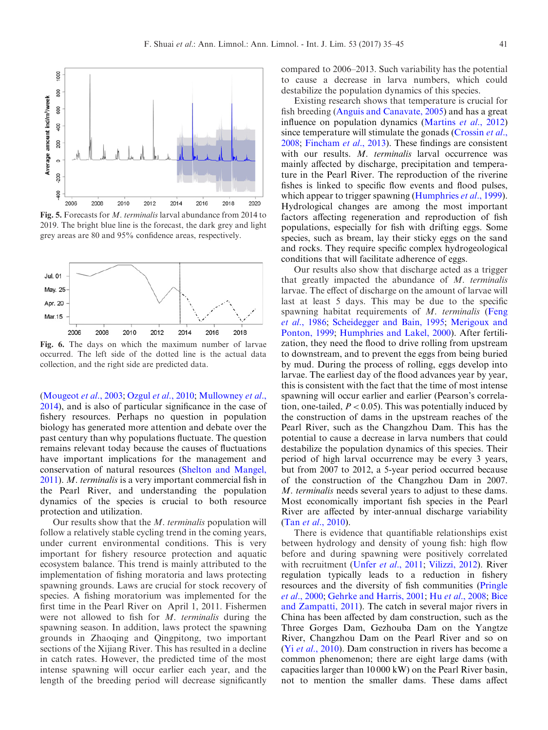<span id="page-6-0"></span>

Fig. 5. Forecasts for M. terminalis larval abundance from 2014 to 2019. The bright blue line is the forecast, the dark grey and light grey areas are 80 and 95% confidence areas, respectively.



Fig. 6. The days on which the maximum number of larvae occurred. The left side of the dotted line is the actual data collection, and the right side are predicted data.

([Mougeot](#page-9-0) et al., 2003; Ozgul et al[., 2010](#page-9-0); [Mullowney](#page-9-0) et al., [2014](#page-9-0)), and is also of particular significance in the case of fishery resources. Perhaps no question in population biology has generated more attention and debate over the past century than why populations fluctuate. The question remains relevant today because the causes of fluctuations have important implications for the management and conservation of natural resources ([Shelton and Mangel,](#page-9-0) [2011](#page-9-0)). M. terminalis is a very important commercial fish in the Pearl River, and understanding the population dynamics of the species is crucial to both resource protection and utilization.

Our results show that the M. terminalis population will follow a relatively stable cycling trend in the coming years, under current environmental conditions. This is very important for fishery resource protection and aquatic ecosystem balance. This trend is mainly attributed to the implementation of fishing moratoria and laws protecting spawning grounds. Laws are crucial for stock recovery of species. A fishing moratorium was implemented for the first time in the Pearl River on April 1, 2011. Fishermen were not allowed to fish for M. terminalis during the spawning season. In addition, laws protect the spawning grounds in Zhaoqing and Qingpitong, two important sections of the Xijiang River. This has resulted in a decline in catch rates. However, the predicted time of the most intense spawning will occur earlier each year, and the length of the breeding period will decrease significantly

compared to 2006–2013. Such variability has the potential to cause a decrease in larva numbers, which could destabilize the population dynamics of this species.

Existing research shows that temperature is crucial for fish breeding [\(Anguis and Canavate, 2005\)](#page-8-0) and has a great influence on population dynamics [\(Martins](#page-9-0) et al., 2012) since temperature will stimulate the gonads ( $C$ rossin et al., [2008;](#page-8-0) [Fincham](#page-8-0) et al., 2013). These findings are consistent with our results. M. terminalis larval occurrence was mainly affected by discharge, precipitation and temperature in the Pearl River. The reproduction of the riverine fishes is linked to specific flow events and flood pulses, which appear to trigger spawning ([Humphries](#page-8-0) *et al.*, 1999). Hydrological changes are among the most important factors affecting regeneration and reproduction of fish populations, especially for fish with drifting eggs. Some species, such as bream, lay their sticky eggs on the sand and rocks. They require specific complex hydrogeological conditions that will facilitate adherence of eggs.

Our results also show that discharge acted as a trigger that greatly impacted the abundance of  $M$ . terminalis larvae. The effect of discharge on the amount of larvae will last at least 5 days. This may be due to the specific spawning habitat requirements of M. terminalis [\(Feng](#page-8-0)) et al[., 1986;](#page-8-0) [Scheidegger and Bain, 1995;](#page-9-0) [Merigoux and](#page-9-0) [Ponton, 1999](#page-9-0); [Humphries and Lakel, 2000\)](#page-8-0). After fertilization, they need the flood to drive rolling from upstream to downstream, and to prevent the eggs from being buried by mud. During the process of rolling, eggs develop into larvae. The earliest day of the flood advances year by year, this is consistent with the fact that the time of most intense spawning will occur earlier and earlier (Pearson's correlation, one-tailed,  $P < 0.05$ ). This was potentially induced by the construction of dams in the upstream reaches of the Pearl River, such as the Changzhou Dam. This has the potential to cause a decrease in larva numbers that could destabilize the population dynamics of this species. Their period of high larval occurrence may be every 3 years, but from 2007 to 2012, a 5-year period occurred because of the construction of the Changzhou Dam in 2007. M. terminalis needs several years to adjust to these dams. Most economically important fish species in the Pearl River are affected by inter-annual discharge variability (Tan et al[., 2010](#page-9-0)).

There is evidence that quantifiable relationships exist between hydrology and density of young fish: high flow before and during spawning were positively correlated with recruitment (Unfer et al[., 2011;](#page-9-0) [Vilizzi, 2012\)](#page-9-0). River regulation typically leads to a reduction in fishery resources and the diversity of fish communities ([Pringle](#page-9-0) et al[., 2000](#page-9-0); [Gehrke and Harris, 2001;](#page-8-0) Hu et al[., 2008](#page-8-0); [Bice](#page-8-0) [and Zampatti, 2011](#page-8-0)). The catch in several major rivers in China has been affected by dam construction, such as the Three Gorges Dam, Gezhouba Dam on the Yangtze River, Changzhou Dam on the Pearl River and so on (Yi *et al.*, 2010). Dam construction in rivers has become a common phenomenon; there are eight large dams (with capacities larger than 10 000 kW) on the Pearl River basin, not to mention the smaller dams. These dams affect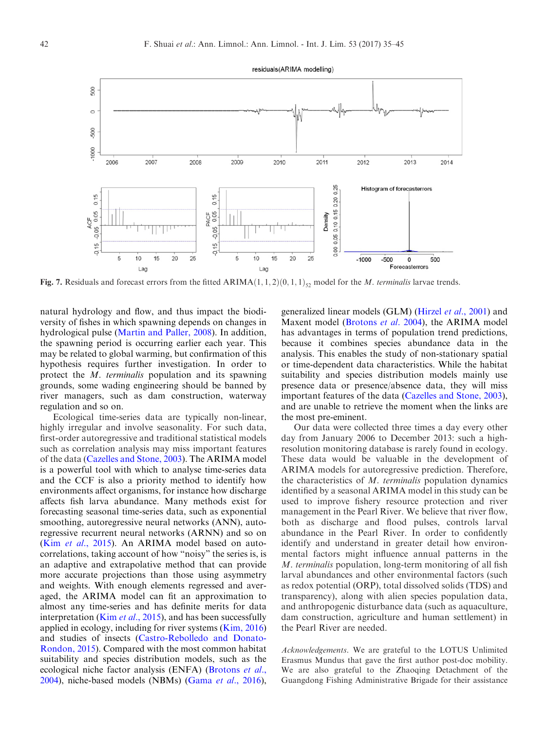<span id="page-7-0"></span>

Fig. 7. Residuals and forecast errors from the fitted ARIMA $(1, 1, 2)(0, 1, 1)$ <sub>52</sub> model for the *M. terminalis* larvae trends.

natural hydrology and flow, and thus impact the biodiversity of fishes in which spawning depends on changes in hydrological pulse ([Martin and Paller, 2008](#page-9-0)). In addition, the spawning period is occurring earlier each year. This may be related to global warming, but confirmation of this hypothesis requires further investigation. In order to protect the M. terminalis population and its spawning grounds, some wading engineering should be banned by river managers, such as dam construction, waterway regulation and so on.

Ecological time-series data are typically non-linear, highly irregular and involve seasonality. For such data, first-order autoregressive and traditional statistical models such as correlation analysis may miss important features of the data [\(Cazelles and Stone, 2003\)](#page-8-0). The ARIMA model is a powerful tool with which to analyse time-series data and the CCF is also a priority method to identify how environments affect organisms, for instance how discharge affects fish larva abundance. Many methods exist for forecasting seasonal time-series data, such as exponential smoothing, autoregressive neural networks (ANN), autoregressive recurrent neural networks (ARNN) and so on (Kim et al.[, 2015](#page-8-0)). An ARIMA model based on autocorrelations, taking account of how "noisy" the series is, is an adaptive and extrapolative method that can provide more accurate projections than those using asymmetry and weights. With enough elements regressed and averaged, the ARIMA model can fit an approximation to almost any time-series and has definite merits for data interpretation (Kim *et al.*, 2015), and has been successfully applied in ecology, including for river systems [\(Kim, 2016](#page-9-0)) and studies of insects ([Castro-Rebolledo and Donato-](#page-8-0)[Rondon, 2015\)](#page-8-0). Compared with the most common habitat suitability and species distribution models, such as the ecological niche factor analysis (ENFA) ([Brotons](#page-8-0) et al., [2004](#page-8-0)), niche-based models (NBMs) (Gama et al.[, 2016\)](#page-8-0),

generalized linear models (GLM) ([Hirzel](#page-8-0) et al., 2001) and Maxent model [\(Brotons](#page-8-0) et al. 2004), the ARIMA model has advantages in terms of population trend predictions, because it combines species abundance data in the analysis. This enables the study of non-stationary spatial or time-dependent data characteristics. While the habitat suitability and species distribution models mainly use presence data or presence/absence data, they will miss important features of the data [\(Cazelles and Stone, 2003\)](#page-8-0), and are unable to retrieve the moment when the links are the most pre-eminent.

Our data were collected three times a day every other day from January 2006 to December 2013: such a highresolution monitoring database is rarely found in ecology. These data would be valuable in the development of ARIMA models for autoregressive prediction. Therefore, the characteristics of  $M$ . terminalis population dynamics identified by a seasonal ARIMA model in this study can be used to improve fishery resource protection and river management in the Pearl River. We believe that river flow, both as discharge and flood pulses, controls larval abundance in the Pearl River. In order to confidently identify and understand in greater detail how environmental factors might influence annual patterns in the M. terminalis population, long-term monitoring of all fish larval abundances and other environmental factors (such as redox potential (ORP), total dissolved solids (TDS) and transparency), along with alien species population data, and anthropogenic disturbance data (such as aquaculture, dam construction, agriculture and human settlement) in the Pearl River are needed.

Acknowledgements. We are grateful to the LOTUS Unlimited Erasmus Mundus that gave the first author post-doc mobility. We are also grateful to the Zhaoqing Detachment of the Guangdong Fishing Administrative Brigade for their assistance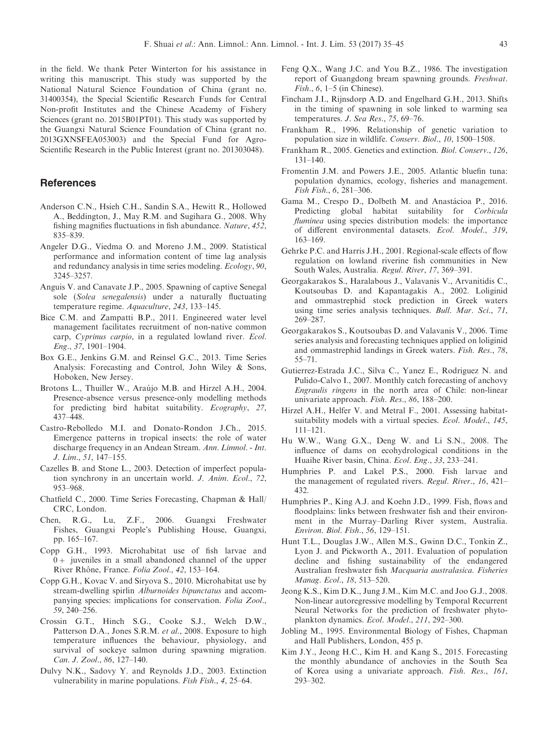<span id="page-8-0"></span>in the field. We thank Peter Winterton for his assistance in writing this manuscript. This study was supported by the National Natural Science Foundation of China (grant no. 31400354), the Special Scientific Research Funds for Central Non-profit Institutes and the Chinese Academy of Fishery Sciences (grant no. 2015B01PT01). This study was supported by the Guangxi Natural Science Foundation of China (grant no. 2013GXNSFEA053003) and the Special Fund for Agro-Scientific Research in the Public Interest (grant no. 201303048).

## **References**

- Anderson C.N., Hsieh C.H., Sandin S.A., Hewitt R., Hollowed A., Beddington, J., May R.M. and Sugihara G., 2008. Why fishing magnifies fluctuations in fish abundance. Nature, 452, 835–839.
- Angeler D.G., Viedma O. and Moreno J.M., 2009. Statistical performance and information content of time lag analysis and redundancy analysis in time series modeling. Ecology, 90, 3245–3257.
- Anguis V. and Canavate J.P., 2005. Spawning of captive Senegal sole (Solea senegalensis) under a naturally fluctuating temperature regime. Aquaculture, 243, 133–145.
- Bice C.M. and Zampatti B.P., 2011. Engineered water level management facilitates recruitment of non-native common carp, Cyprinus carpio, in a regulated lowland river. Ecol. Eng., 37, 1901–1904.
- Box G.E., Jenkins G.M. and Reinsel G.C., 2013. Time Series Analysis: Forecasting and Control, John Wiley & Sons, Hoboken, New Jersey.
- Brotons L., Thuiller W., Araújo M.B. and Hirzel A.H., 2004. Presence-absence versus presence-only modelling methods for predicting bird habitat suitability. Ecography, 27, 437–448.
- Castro-Rebolledo M.I. and Donato-Rondon J.Ch., 2015. Emergence patterns in tropical insects: the role of water discharge frequency in an Andean Stream. Ann. Limnol. - Int. J. Lim., 51, 147–155.
- Cazelles B. and Stone L., 2003. Detection of imperfect population synchrony in an uncertain world. J. Anim. Ecol., 72, 953–968.
- Chatfield C., 2000. Time Series Forecasting, Chapman & Hall/ CRC, London.
- Chen, R.G., Lu, Z.F., 2006. Guangxi Freshwater Fishes, Guangxi People's Publishing House, Guangxi, pp. 165–167.
- Copp G.H., 1993. Microhabitat use of fish larvae and  $0+$  juveniles in a small abandoned channel of the upper River Rhône, France. Folia Zool., 42, 153-164.
- Copp G.H., Kovac V. and Siryova S., 2010. Microhabitat use by stream-dwelling spirlin Alburnoides bipunctatus and accompanying species: implications for conservation. Folia Zool., 59, 240–256.
- Crossin G.T., Hinch S.G., Cooke S.J., Welch D.W., Patterson D.A., Jones S.R.M. et al., 2008. Exposure to high temperature influences the behaviour, physiology, and survival of sockeye salmon during spawning migration. Can. J. Zool., 86, 127–140.
- Dulvy N.K., Sadovy Y. and Reynolds J.D., 2003. Extinction vulnerability in marine populations. Fish Fish., 4, 25–64.
- Feng Q.X., Wang J.C. and You B.Z., 1986. The investigation report of Guangdong bream spawning grounds. Freshwat.  $Fish., 6, 1–5$  (in Chinese).
- Fincham J.I., Rijnsdorp A.D. and Engelhard G.H., 2013. Shifts in the timing of spawning in sole linked to warming sea temperatures. J. Sea Res., 75, 69-76.
- Frankham R., 1996. Relationship of genetic variation to population size in wildlife. Conserv. Biol., 10, 1500–1508.
- Frankham R., 2005. Genetics and extinction. Biol. Conserv., 126, 131–140.
- Fromentin J.M. and Powers J.E., 2005. Atlantic bluefin tuna: population dynamics, ecology, fisheries and management. Fish Fish., 6, 281–306.
- Gama M., Crespo D., Dolbeth M. and Anastácioa P., 2016. Predicting global habitat suitability for Corbicula fluminea using species distribution models: the importance of different environmental datasets. Ecol. Model., 319, 163–169.
- Gehrke P.C. and Harris J.H., 2001. Regional-scale effects of flow regulation on lowland riverine fish communities in New South Wales, Australia. Regul. River, 17, 369–391.
- Georgakarakos S., Haralabous J., Valavanis V., Arvanitidis C., Koutsoubas D. and Kapantagakis A., 2002. Loliginid and ommastrephid stock prediction in Greek waters using time series analysis techniques. Bull. Mar. Sci., 71, 269–287.
- Georgakarakos S., Koutsoubas D. and Valavanis V., 2006. Time series analysis and forecasting techniques applied on loliginid and ommastrephid landings in Greek waters. Fish. Res., 78, 55–71.
- Gutierrez-Estrada J.C., Silva C., Yanez E., Rodriguez N. and Pulido-Calvo I., 2007. Monthly catch forecasting of anchovy Engraulis ringens in the north area of Chile: non-linear univariate approach. Fish. Res., 86, 188–200.
- Hirzel A.H., Helfer V. and Metral F., 2001. Assessing habitatsuitability models with a virtual species. Ecol. Model., 145, 111–121.
- Hu W.W., Wang G.X., Deng W. and Li S.N., 2008. The influence of dams on ecohydrological conditions in the Huaihe River basin, China. Ecol. Eng., 33, 233–241.
- Humphries P. and Lakel P.S., 2000. Fish larvae and the management of regulated rivers. Regul. River., 16, 421– 432.
- Humphries P., King A.J. and Koehn J.D., 1999. Fish, flows and floodplains: links between freshwater fish and their environment in the Murray–Darling River system, Australia. Environ. Biol. Fish., 56, 129–151.
- Hunt T.L., Douglas J.W., Allen M.S., Gwinn D.C., Tonkin Z., Lyon J. and Pickworth A., 2011. Evaluation of population decline and fishing sustainability of the endangered Australian freshwater fish Macquaria australasica. Fisheries Manag. Ecol., 18, 513–520.
- Jeong K.S., Kim D.K., Jung J.M., Kim M.C. and Joo G.J., 2008. Non-linear autoregressive modelling by Temporal Recurrent Neural Networks for the prediction of freshwater phytoplankton dynamics. Ecol. Model., 211, 292–300.
- Jobling M., 1995. Environmental Biology of Fishes, Chapman and Hall Publishers, London, 455 p.
- Kim J.Y., Jeong H.C., Kim H. and Kang S., 2015. Forecasting the monthly abundance of anchovies in the South Sea of Korea using a univariate approach. Fish. Res., 161, 293–302.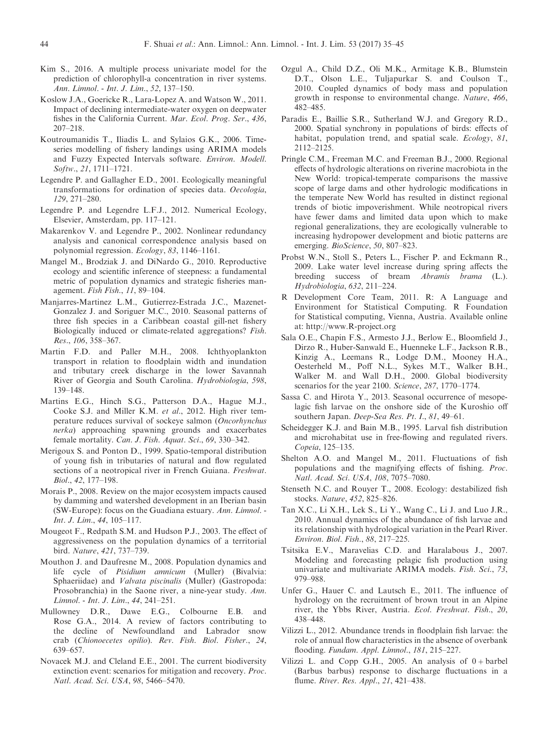- <span id="page-9-0"></span>Kim S., 2016. A multiple process univariate model for the prediction of chlorophyll-a concentration in river systems. Ann. Limnol. - Int. J. Lim., 52, 137–150.
- Koslow J.A., Goericke R., Lara-Lopez A. and Watson W., 2011. Impact of declining intermediate-water oxygen on deepwater fishes in the California Current. Mar. Ecol. Prog. Ser., 436, 207–218.
- Koutroumanidis T., Iliadis L. and Sylaios G.K., 2006. Timeseries modelling of fishery landings using ARIMA models and Fuzzy Expected Intervals software. Environ. Modell. Softw., 21, 1711–1721.
- Legendre P. and Gallagher E.D., 2001. Ecologically meaningful transformations for ordination of species data. Oecologia, 129, 271–280.
- Legendre P. and Legendre L.F.J., 2012. Numerical Ecology, Elsevier, Amsterdam, pp. 117–121.
- Makarenkov V. and Legendre P., 2002. Nonlinear redundancy analysis and canonical correspondence analysis based on polynomial regression. Ecology, 83, 1146–1161.
- Mangel M., Brodziak J. and DiNardo G., 2010. Reproductive ecology and scientific inference of steepness: a fundamental metric of population dynamics and strategic fisheries management. Fish Fish., 11, 89–104.
- Manjarres-Martinez L.M., Gutierrez-Estrada J.C., Mazenet-Gonzalez J. and Soriguer M.C., 2010. Seasonal patterns of three fish species in a Caribbean coastal gill-net fishery Biologically induced or climate-related aggregations? Fish. Res., 106, 358–367.
- Martin F.D. and Paller M.H., 2008. Ichthyoplankton transport in relation to floodplain width and inundation and tributary creek discharge in the lower Savannah River of Georgia and South Carolina. Hydrobiologia, 598, 139–148.
- Martins E.G., Hinch S.G., Patterson D.A., Hague M.J., Cooke S.J. and Miller K.M. et al., 2012. High river temperature reduces survival of sockeye salmon (Oncorhynchus nerka) approaching spawning grounds and exacerbates female mortality. Can. J. Fish. Aquat. Sci., 69, 330–342.
- Merigoux S. and Ponton D., 1999. Spatio-temporal distribution of young fish in tributaries of natural and flow regulated sections of a neotropical river in French Guiana. Freshwat. Biol., 42, 177–198.
- Morais P., 2008. Review on the major ecosystem impacts caused by damming and watershed development in an Iberian basin (SW-Europe): focus on the Guadiana estuary. Ann. Limnol. - Int. J. Lim., 44, 105–117.
- Mougeot F., Redpath S.M. and Hudson P.J., 2003. The effect of aggressiveness on the population dynamics of a territorial bird. Nature, 421, 737–739.
- Mouthon J. and Daufresne M., 2008. Population dynamics and life cycle of Pisidium amnicum (Muller) (Bivalvia: Sphaeriidae) and *Valvata piscinalis* (Muller) (Gastropoda: Prosobranchia) in the Saone river, a nine-year study. Ann. Limnol. - Int. J. Lim., 44, 241–251.
- Mullowney D.R., Dawe E.G., Colbourne E.B. and Rose G.A., 2014. A review of factors contributing to the decline of Newfoundland and Labrador snow crab (Chionoecetes opilio). Rev. Fish. Biol. Fisher., 24, 639–657.
- Novacek M.J. and Cleland E.E., 2001. The current biodiversity extinction event: scenarios for mitigation and recovery. Proc. Natl. Acad. Sci. USA, 98, 5466–5470.
- Ozgul A., Child D.Z., Oli M.K., Armitage K.B., Blumstein D.T., Olson L.E., Tuljapurkar S. and Coulson T., 2010. Coupled dynamics of body mass and population growth in response to environmental change. Nature, 466, 482–485.
- Paradis E., Baillie S.R., Sutherland W.J. and Gregory R.D., 2000. Spatial synchrony in populations of birds: effects of habitat, population trend, and spatial scale. *Ecology*, 81, 2112–2125.
- Pringle C.M., Freeman M.C. and Freeman B.J., 2000. Regional effects of hydrologic alterations on riverine macrobiota in the New World: tropical-temperate comparisons the massive scope of large dams and other hydrologic modifications in the temperate New World has resulted in distinct regional trends of biotic impoverishment. While neotropical rivers have fewer dams and limited data upon which to make regional generalizations, they are ecologically vulnerable to increasing hydropower development and biotic patterns are emerging. *BioScience*, 50, 807–823.
- Probst W.N., Stoll S., Peters L., Fischer P. and Eckmann R., 2009. Lake water level increase during spring affects the breeding success of bream Abramis brama (L.). Hydrobiologia, 632, 211–224.
- R Development Core Team, 2011. R: A Language and Environment for Statistical Computing. R Foundation for Statistical computing, Vienna, Austria. Available online at: http://www.R-project.org
- Sala O.E., Chapin F.S., Armesto J.J., Berlow E., Bloomfield J., Dirzo R., Huber-Sanwald E., Huenneke L.F., Jackson R.B., Kinzig A., Leemans R., Lodge D.M., Mooney H.A., Oesterheld M., Poff N.L., Sykes M.T., Walker B.H., Walker M. and Wall D.H., 2000. Global biodiversity scenarios for the year 2100. Science, 287, 1770–1774.
- Sassa C. and Hirota Y., 2013. Seasonal occurrence of mesopelagic fish larvae on the onshore side of the Kuroshio off southern Japan. Deep-Sea Res. Pt. I., 81, 49–61.
- Scheidegger K.J. and Bain M.B., 1995. Larval fish distribution and microhabitat use in free-flowing and regulated rivers. Copeia, 125–135.
- Shelton A.O. and Mangel M., 2011. Fluctuations of fish populations and the magnifying effects of fishing. Proc. Natl. Acad. Sci. USA, 108, 7075–7080.
- Stenseth N.C. and Rouyer T., 2008. Ecology: destabilized fish stocks. Nature, 452, 825–826.
- Tan X.C., Li X.H., Lek S., Li Y., Wang C., Li J. and Luo J.R., 2010. Annual dynamics of the abundance of fish larvae and its relationship with hydrological variation in the Pearl River. Environ. Biol. Fish., 88, 217–225.
- Tsitsika E.V., Maravelias C.D. and Haralabous J., 2007. Modeling and forecasting pelagic fish production using univariate and multivariate ARIMA models. Fish. Sci., 73, 979–988.
- Unfer G., Hauer C. and Lautsch E., 2011. The influence of hydrology on the recruitment of brown trout in an Alpine river, the Ybbs River, Austria. Ecol. Freshwat. Fish., 20, 438–448.
- Vilizzi L., 2012. Abundance trends in floodplain fish larvae: the role of annual flow characteristics in the absence of overbank flooding. Fundam. Appl. Limnol., 181, 215–227.
- Vilizzi L. and Copp G.H., 2005. An analysis of  $0 + \text{barbel}$ (Barbus barbus) response to discharge fluctuations in a flume. River. Res. Appl., 21, 421–438.